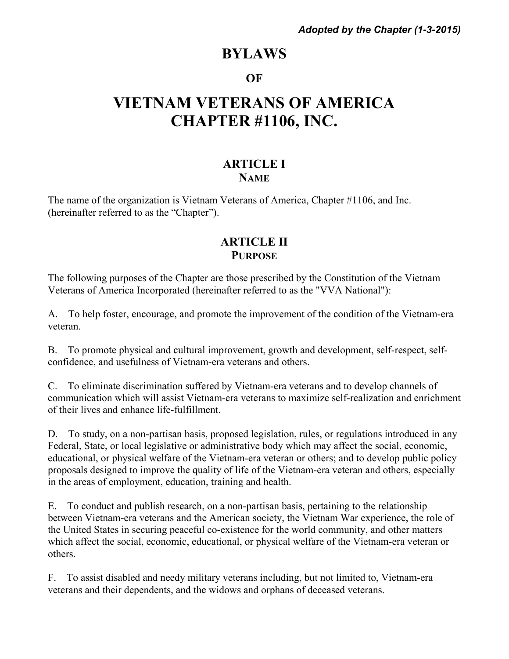# **BYLAWS**

#### **OF**

# **VIETNAM VETERANS OF AMERICA CHAPTER #1106, INC.**

#### **ARTICLE I NAME**

The name of the organization is Vietnam Veterans of America, Chapter #1106, and Inc. (hereinafter referred to as the "Chapter").

#### **ARTICLE II PURPOSE**

The following purposes of the Chapter are those prescribed by the Constitution of the Vietnam Veterans of America Incorporated (hereinafter referred to as the "VVA National"):

A. To help foster, encourage, and promote the improvement of the condition of the Vietnam-era veteran.

B. To promote physical and cultural improvement, growth and development, self-respect, selfconfidence, and usefulness of Vietnam-era veterans and others.

C. To eliminate discrimination suffered by Vietnam-era veterans and to develop channels of communication which will assist Vietnam-era veterans to maximize self-realization and enrichment of their lives and enhance life-fulfillment.

D. To study, on a non-partisan basis, proposed legislation, rules, or regulations introduced in any Federal, State, or local legislative or administrative body which may affect the social, economic, educational, or physical welfare of the Vietnam-era veteran or others; and to develop public policy proposals designed to improve the quality of life of the Vietnam-era veteran and others, especially in the areas of employment, education, training and health.

E. To conduct and publish research, on a non-partisan basis, pertaining to the relationship between Vietnam-era veterans and the American society, the Vietnam War experience, the role of the United States in securing peaceful co-existence for the world community, and other matters which affect the social, economic, educational, or physical welfare of the Vietnam-era veteran or others.

F. To assist disabled and needy military veterans including, but not limited to, Vietnam-era veterans and their dependents, and the widows and orphans of deceased veterans.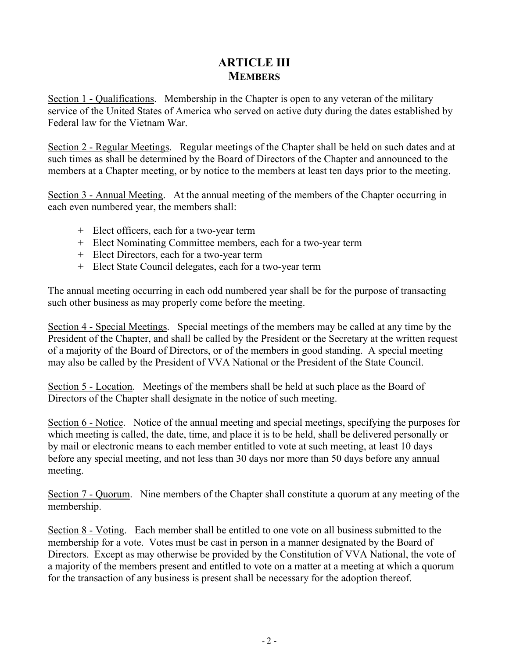## **ARTICLE III MEMBERS**

Section 1 - Qualifications. Membership in the Chapter is open to any veteran of the military service of the United States of America who served on active duty during the dates established by Federal law for the Vietnam War.

Section 2 - Regular Meetings. Regular meetings of the Chapter shall be held on such dates and at such times as shall be determined by the Board of Directors of the Chapter and announced to the members at a Chapter meeting, or by notice to the members at least ten days prior to the meeting.

Section 3 - Annual Meeting. At the annual meeting of the members of the Chapter occurring in each even numbered year, the members shall:

- + Elect officers, each for a two-year term
- + Elect Nominating Committee members, each for a two-year term
- + Elect Directors, each for a two-year term
- + Elect State Council delegates, each for a two-year term

The annual meeting occurring in each odd numbered year shall be for the purpose of transacting such other business as may properly come before the meeting.

Section 4 - Special Meetings. Special meetings of the members may be called at any time by the President of the Chapter, and shall be called by the President or the Secretary at the written request of a majority of the Board of Directors, or of the members in good standing. A special meeting may also be called by the President of VVA National or the President of the State Council.

Section 5 - Location. Meetings of the members shall be held at such place as the Board of Directors of the Chapter shall designate in the notice of such meeting.

Section 6 - Notice. Notice of the annual meeting and special meetings, specifying the purposes for which meeting is called, the date, time, and place it is to be held, shall be delivered personally or by mail or electronic means to each member entitled to vote at such meeting, at least 10 days before any special meeting, and not less than 30 days nor more than 50 days before any annual meeting.

Section 7 - Quorum. Nine members of the Chapter shall constitute a quorum at any meeting of the membership.

Section 8 - Voting. Each member shall be entitled to one vote on all business submitted to the membership for a vote. Votes must be cast in person in a manner designated by the Board of Directors. Except as may otherwise be provided by the Constitution of VVA National, the vote of a majority of the members present and entitled to vote on a matter at a meeting at which a quorum for the transaction of any business is present shall be necessary for the adoption thereof.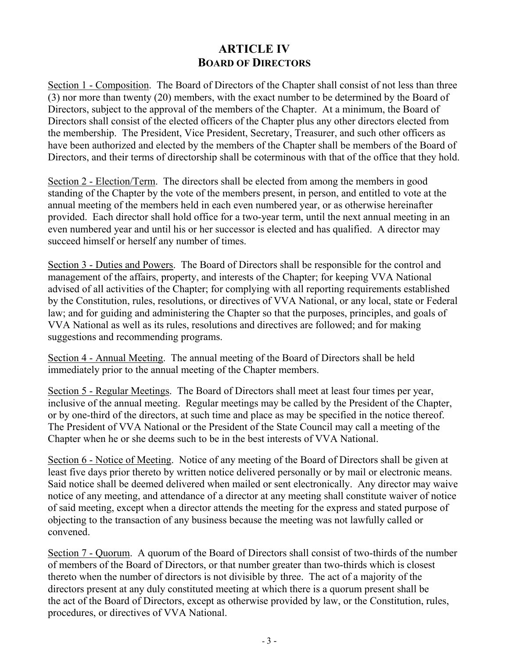## **ARTICLE IV BOARD OF DIRECTORS**

Section 1 - Composition. The Board of Directors of the Chapter shall consist of not less than three (3) nor more than twenty (20) members, with the exact number to be determined by the Board of Directors, subject to the approval of the members of the Chapter. At a minimum, the Board of Directors shall consist of the elected officers of the Chapter plus any other directors elected from the membership. The President, Vice President, Secretary, Treasurer, and such other officers as have been authorized and elected by the members of the Chapter shall be members of the Board of Directors, and their terms of directorship shall be coterminous with that of the office that they hold.

Section 2 - Election/Term. The directors shall be elected from among the members in good standing of the Chapter by the vote of the members present, in person, and entitled to vote at the annual meeting of the members held in each even numbered year, or as otherwise hereinafter provided. Each director shall hold office for a two-year term, until the next annual meeting in an even numbered year and until his or her successor is elected and has qualified. A director may succeed himself or herself any number of times.

Section 3 - Duties and Powers. The Board of Directors shall be responsible for the control and management of the affairs, property, and interests of the Chapter; for keeping VVA National advised of all activities of the Chapter; for complying with all reporting requirements established by the Constitution, rules, resolutions, or directives of VVA National, or any local, state or Federal law; and for guiding and administering the Chapter so that the purposes, principles, and goals of VVA National as well as its rules, resolutions and directives are followed; and for making suggestions and recommending programs.

Section 4 - Annual Meeting. The annual meeting of the Board of Directors shall be held immediately prior to the annual meeting of the Chapter members.

Section 5 - Regular Meetings. The Board of Directors shall meet at least four times per year, inclusive of the annual meeting. Regular meetings may be called by the President of the Chapter, or by one-third of the directors, at such time and place as may be specified in the notice thereof. The President of VVA National or the President of the State Council may call a meeting of the Chapter when he or she deems such to be in the best interests of VVA National.

Section 6 - Notice of Meeting. Notice of any meeting of the Board of Directors shall be given at least five days prior thereto by written notice delivered personally or by mail or electronic means. Said notice shall be deemed delivered when mailed or sent electronically. Any director may waive notice of any meeting, and attendance of a director at any meeting shall constitute waiver of notice of said meeting, except when a director attends the meeting for the express and stated purpose of objecting to the transaction of any business because the meeting was not lawfully called or convened.

Section 7 - Quorum. A quorum of the Board of Directors shall consist of two-thirds of the number of members of the Board of Directors, or that number greater than two-thirds which is closest thereto when the number of directors is not divisible by three. The act of a majority of the directors present at any duly constituted meeting at which there is a quorum present shall be the act of the Board of Directors, except as otherwise provided by law, or the Constitution, rules, procedures, or directives of VVA National.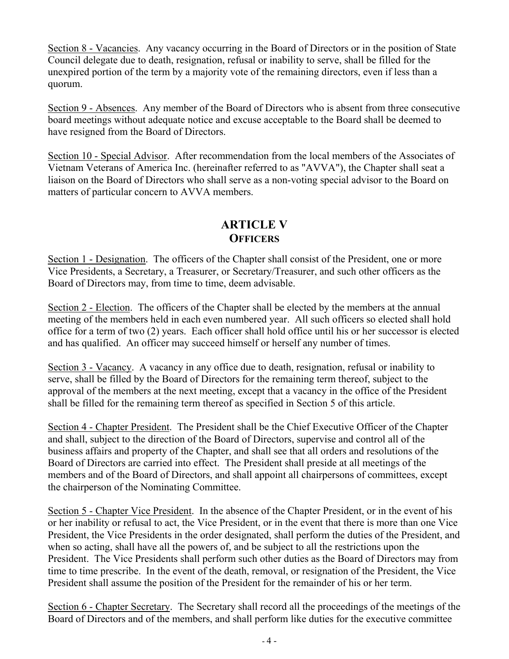Section 8 - Vacancies. Any vacancy occurring in the Board of Directors or in the position of State Council delegate due to death, resignation, refusal or inability to serve, shall be filled for the unexpired portion of the term by a majority vote of the remaining directors, even if less than a quorum.

Section 9 - Absences. Any member of the Board of Directors who is absent from three consecutive board meetings without adequate notice and excuse acceptable to the Board shall be deemed to have resigned from the Board of Directors.

Section 10 - Special Advisor. After recommendation from the local members of the Associates of Vietnam Veterans of America Inc. (hereinafter referred to as "AVVA"), the Chapter shall seat a liaison on the Board of Directors who shall serve as a non-voting special advisor to the Board on matters of particular concern to AVVA members.

## **ARTICLE V OFFICERS**

Section 1 - Designation. The officers of the Chapter shall consist of the President, one or more Vice Presidents, a Secretary, a Treasurer, or Secretary/Treasurer, and such other officers as the Board of Directors may, from time to time, deem advisable.

Section 2 - Election. The officers of the Chapter shall be elected by the members at the annual meeting of the members held in each even numbered year. All such officers so elected shall hold office for a term of two (2) years. Each officer shall hold office until his or her successor is elected and has qualified. An officer may succeed himself or herself any number of times.

Section 3 - Vacancy. A vacancy in any office due to death, resignation, refusal or inability to serve, shall be filled by the Board of Directors for the remaining term thereof, subject to the approval of the members at the next meeting, except that a vacancy in the office of the President shall be filled for the remaining term thereof as specified in Section 5 of this article.

Section 4 - Chapter President. The President shall be the Chief Executive Officer of the Chapter and shall, subject to the direction of the Board of Directors, supervise and control all of the business affairs and property of the Chapter, and shall see that all orders and resolutions of the Board of Directors are carried into effect. The President shall preside at all meetings of the members and of the Board of Directors, and shall appoint all chairpersons of committees, except the chairperson of the Nominating Committee.

Section 5 - Chapter Vice President. In the absence of the Chapter President, or in the event of his or her inability or refusal to act, the Vice President, or in the event that there is more than one Vice President, the Vice Presidents in the order designated, shall perform the duties of the President, and when so acting, shall have all the powers of, and be subject to all the restrictions upon the President. The Vice Presidents shall perform such other duties as the Board of Directors may from time to time prescribe. In the event of the death, removal, or resignation of the President, the Vice President shall assume the position of the President for the remainder of his or her term.

Section 6 - Chapter Secretary. The Secretary shall record all the proceedings of the meetings of the Board of Directors and of the members, and shall perform like duties for the executive committee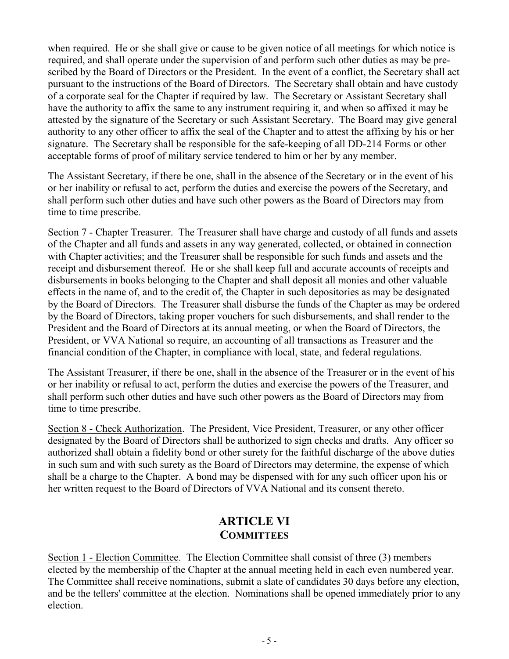when required. He or she shall give or cause to be given notice of all meetings for which notice is required, and shall operate under the supervision of and perform such other duties as may be prescribed by the Board of Directors or the President. In the event of a conflict, the Secretary shall act pursuant to the instructions of the Board of Directors. The Secretary shall obtain and have custody of a corporate seal for the Chapter if required by law. The Secretary or Assistant Secretary shall have the authority to affix the same to any instrument requiring it, and when so affixed it may be attested by the signature of the Secretary or such Assistant Secretary. The Board may give general authority to any other officer to affix the seal of the Chapter and to attest the affixing by his or her signature. The Secretary shall be responsible for the safe-keeping of all DD-214 Forms or other acceptable forms of proof of military service tendered to him or her by any member.

The Assistant Secretary, if there be one, shall in the absence of the Secretary or in the event of his or her inability or refusal to act, perform the duties and exercise the powers of the Secretary, and shall perform such other duties and have such other powers as the Board of Directors may from time to time prescribe.

Section 7 - Chapter Treasurer. The Treasurer shall have charge and custody of all funds and assets of the Chapter and all funds and assets in any way generated, collected, or obtained in connection with Chapter activities; and the Treasurer shall be responsible for such funds and assets and the receipt and disbursement thereof. He or she shall keep full and accurate accounts of receipts and disbursements in books belonging to the Chapter and shall deposit all monies and other valuable effects in the name of, and to the credit of, the Chapter in such depositories as may be designated by the Board of Directors. The Treasurer shall disburse the funds of the Chapter as may be ordered by the Board of Directors, taking proper vouchers for such disbursements, and shall render to the President and the Board of Directors at its annual meeting, or when the Board of Directors, the President, or VVA National so require, an accounting of all transactions as Treasurer and the financial condition of the Chapter, in compliance with local, state, and federal regulations.

The Assistant Treasurer, if there be one, shall in the absence of the Treasurer or in the event of his or her inability or refusal to act, perform the duties and exercise the powers of the Treasurer, and shall perform such other duties and have such other powers as the Board of Directors may from time to time prescribe.

Section 8 - Check Authorization. The President, Vice President, Treasurer, or any other officer designated by the Board of Directors shall be authorized to sign checks and drafts. Any officer so authorized shall obtain a fidelity bond or other surety for the faithful discharge of the above duties in such sum and with such surety as the Board of Directors may determine, the expense of which shall be a charge to the Chapter. A bond may be dispensed with for any such officer upon his or her written request to the Board of Directors of VVA National and its consent thereto.

#### **ARTICLE VI COMMITTEES**

Section 1 - Election Committee. The Election Committee shall consist of three (3) members elected by the membership of the Chapter at the annual meeting held in each even numbered year. The Committee shall receive nominations, submit a slate of candidates 30 days before any election, and be the tellers' committee at the election. Nominations shall be opened immediately prior to any election.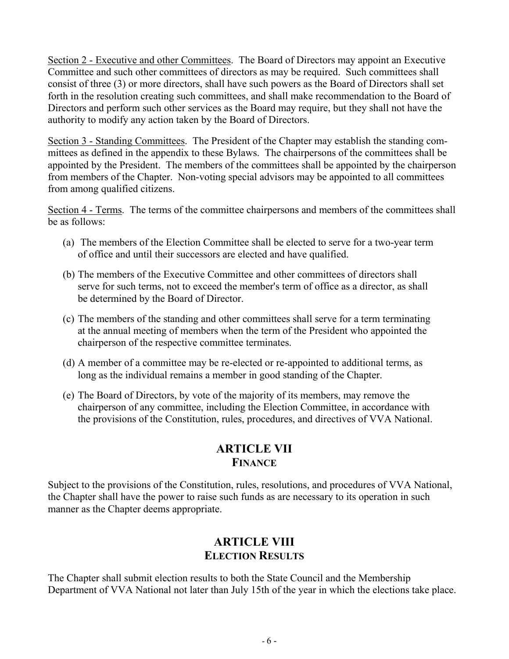Section 2 - Executive and other Committees. The Board of Directors may appoint an Executive Committee and such other committees of directors as may be required. Such committees shall consist of three (3) or more directors, shall have such powers as the Board of Directors shall set forth in the resolution creating such committees, and shall make recommendation to the Board of Directors and perform such other services as the Board may require, but they shall not have the authority to modify any action taken by the Board of Directors.

Section 3 - Standing Committees. The President of the Chapter may establish the standing committees as defined in the appendix to these Bylaws. The chairpersons of the committees shall be appointed by the President. The members of the committees shall be appointed by the chairperson from members of the Chapter. Non-voting special advisors may be appointed to all committees from among qualified citizens.

Section 4 - Terms. The terms of the committee chairpersons and members of the committees shall be as follows:

- (a) The members of the Election Committee shall be elected to serve for a two-year term of office and until their successors are elected and have qualified.
- (b) The members of the Executive Committee and other committees of directors shall serve for such terms, not to exceed the member's term of office as a director, as shall be determined by the Board of Director.
- (c) The members of the standing and other committees shall serve for a term terminating at the annual meeting of members when the term of the President who appointed the chairperson of the respective committee terminates.
- (d) A member of a committee may be re-elected or re-appointed to additional terms, as long as the individual remains a member in good standing of the Chapter.
- (e) The Board of Directors, by vote of the majority of its members, may remove the chairperson of any committee, including the Election Committee, in accordance with the provisions of the Constitution, rules, procedures, and directives of VVA National.

#### **ARTICLE VII FINANCE**

Subject to the provisions of the Constitution, rules, resolutions, and procedures of VVA National, the Chapter shall have the power to raise such funds as are necessary to its operation in such manner as the Chapter deems appropriate.

## **ARTICLE VIII ELECTION RESULTS**

The Chapter shall submit election results to both the State Council and the Membership Department of VVA National not later than July 15th of the year in which the elections take place.